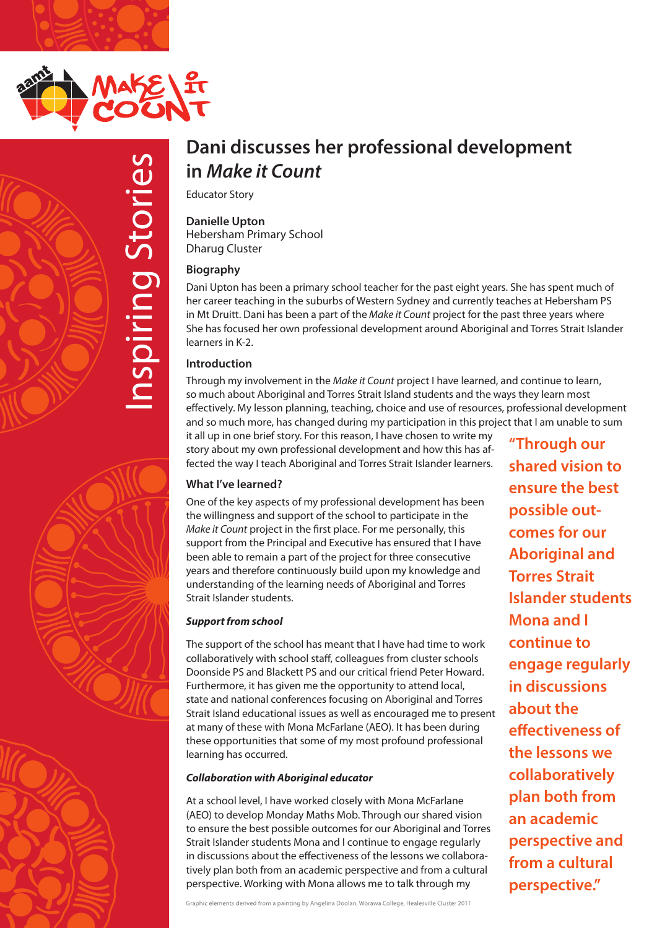



# **in** *Make it Count*

Educator Story

**Danielle Upton** Hebersham Primary School Dharug Cluster

# **Biography**

**In Make it Count<br>
Educator Story**<br> **Danielle Upton**<br> **In Make it Count**<br> **Educator Story**<br>
Danielle Upton<br>
Hebersham Primary School<br>
Dharug Cluster<br> **Biography**<br>
Dani Upton has been a primary school teacher for the past e Dani Upton has been a primary school teacher for the past eight years. She has spent much of her career teaching in the suburbs of Western Sydney and currently teaches at Hebersham PS in Mt Druitt. Dani has been a part of the *Make it Count* project for the past three years where She has focused her own professional development around Aboriginal and Torres Strait Islander learners in K-2.

# **Introduction**

Through my involvement in the *Make it Count* project I have learned, and continue to learn, so much about Aboriginal and Torres Strait Island students and the ways they learn most effectively. My lesson planning, teaching, choice and use of resources, professional development and so much more, has changed during my participation in this project that I am unable to sum

it all up in one brief story. For this reason, I have chosen to write my story about my own professional development and how this has affected the way I teach Aboriginal and Torres Strait Islander learners.

# **What I've learned?**

One of the key aspects of my professional development has been the willingness and support of the school to participate in the *Make it Count* project in the first place. For me personally, this support from the Principal and Executive has ensured that I have been able to remain a part of the project for three consecutive years and therefore continuously build upon my knowledge and understanding of the learning needs of Aboriginal and Torres Strait Islander students.

# *Support from school*

The support of the school has meant that I have had time to work collaboratively with school staff, colleagues from cluster schools Doonside PS and Blackett PS and our critical friend Peter Howard. Furthermore, it has given me the opportunity to attend local, state and national conferences focusing on Aboriginal and Torres Strait Island educational issues as well as encouraged me to present at many of these with Mona McFarlane (AEO). It has been during these opportunities that some of my most profound professional learning has occurred.

# *Collaboration with Aboriginal educator*

At a school level, I have worked closely with Mona McFarlane (AEO) to develop Monday Maths Mob. Through our shared vision to ensure the best possible outcomes for our Aboriginal and Torres Strait Islander students Mona and I continue to engage regularly in discussions about the effectiveness of the lessons we collaboratively plan both from an academic perspective and from a cultural perspective. Working with Mona allows me to talk through my

Graphic elements derived from a painting by Angelina Doolan, Worawa College, Healesville Cluster 2011

**"Through our shared vision to ensure the best possible outcomes for our Aboriginal and Torres Strait Islander students Mona and I continue to engage regularly in discussions about the effectiveness of the lessons we collaboratively plan both from an academic perspective and from a cultural perspective."**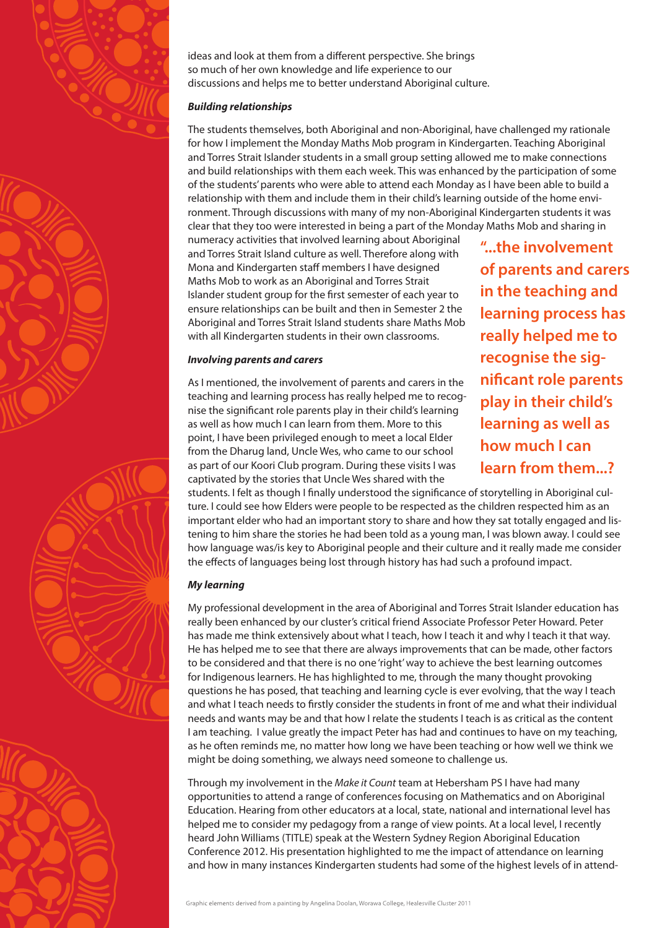



### *Building relationships*

The students themselves, both Aboriginal and non-Aboriginal, have challenged my rationale for how I implement the Monday Maths Mob program in Kindergarten. Teaching Aboriginal and Torres Strait Islander students in a small group setting allowed me to make connections and build relationships with them each week. This was enhanced by the participation of some of the students' parents who were able to attend each Monday as I have been able to build a relationship with them and include them in their child's learning outside of the home environment. Through discussions with many of my non-Aboriginal Kindergarten students it was clear that they too were interested in being a part of the Monday Maths Mob and sharing in

numeracy activities that involved learning about Aboriginal and Torres Strait Island culture as well. Therefore along with Mona and Kindergarten staff members I have designed Maths Mob to work as an Aboriginal and Torres Strait Islander student group for the first semester of each year to ensure relationships can be built and then in Semester 2 the Aboriginal and Torres Strait Island students share Maths Mob with all Kindergarten students in their own classrooms.

### *Involving parents and carers*

As I mentioned, the involvement of parents and carers in the teaching and learning process has really helped me to recognise the significant role parents play in their child's learning as well as how much I can learn from them. More to this point, I have been privileged enough to meet a local Elder from the Dharug land, Uncle Wes, who came to our school as part of our Koori Club program. During these visits I was captivated by the stories that Uncle Wes shared with the

**"...the involvement of parents and carers in the teaching and learning process has really helped me to recognise the significant role parents play in their child's learning as well as how much I can learn from them...?**

students. I felt as though I finally understood the significance of storytelling in Aboriginal culture. I could see how Elders were people to be respected as the children respected him as an important elder who had an important story to share and how they sat totally engaged and listening to him share the stories he had been told as a young man, I was blown away. I could see how language was/is key to Aboriginal people and their culture and it really made me consider the effects of languages being lost through history has had such a profound impact.

## *My learning*

My professional development in the area of Aboriginal and Torres Strait Islander education has really been enhanced by our cluster's critical friend Associate Professor Peter Howard. Peter has made me think extensively about what I teach, how I teach it and why I teach it that way. He has helped me to see that there are always improvements that can be made, other factors to be considered and that there is no one 'right' way to achieve the best learning outcomes for Indigenous learners. He has highlighted to me, through the many thought provoking questions he has posed, that teaching and learning cycle is ever evolving, that the way I teach and what I teach needs to firstly consider the students in front of me and what their individual needs and wants may be and that how I relate the students I teach is as critical as the content I am teaching. I value greatly the impact Peter has had and continues to have on my teaching, as he often reminds me, no matter how long we have been teaching or how well we think we might be doing something, we always need someone to challenge us.

Through my involvement in the *Make it Count* team at Hebersham PS I have had many opportunities to attend a range of conferences focusing on Mathematics and on Aboriginal Education. Hearing from other educators at a local, state, national and international level has helped me to consider my pedagogy from a range of view points. At a local level, I recently heard John Williams (TITLE) speak at the Western Sydney Region Aboriginal Education Conference 2012. His presentation highlighted to me the impact of attendance on learning and how in many instances Kindergarten students had some of the highest levels of in attend-